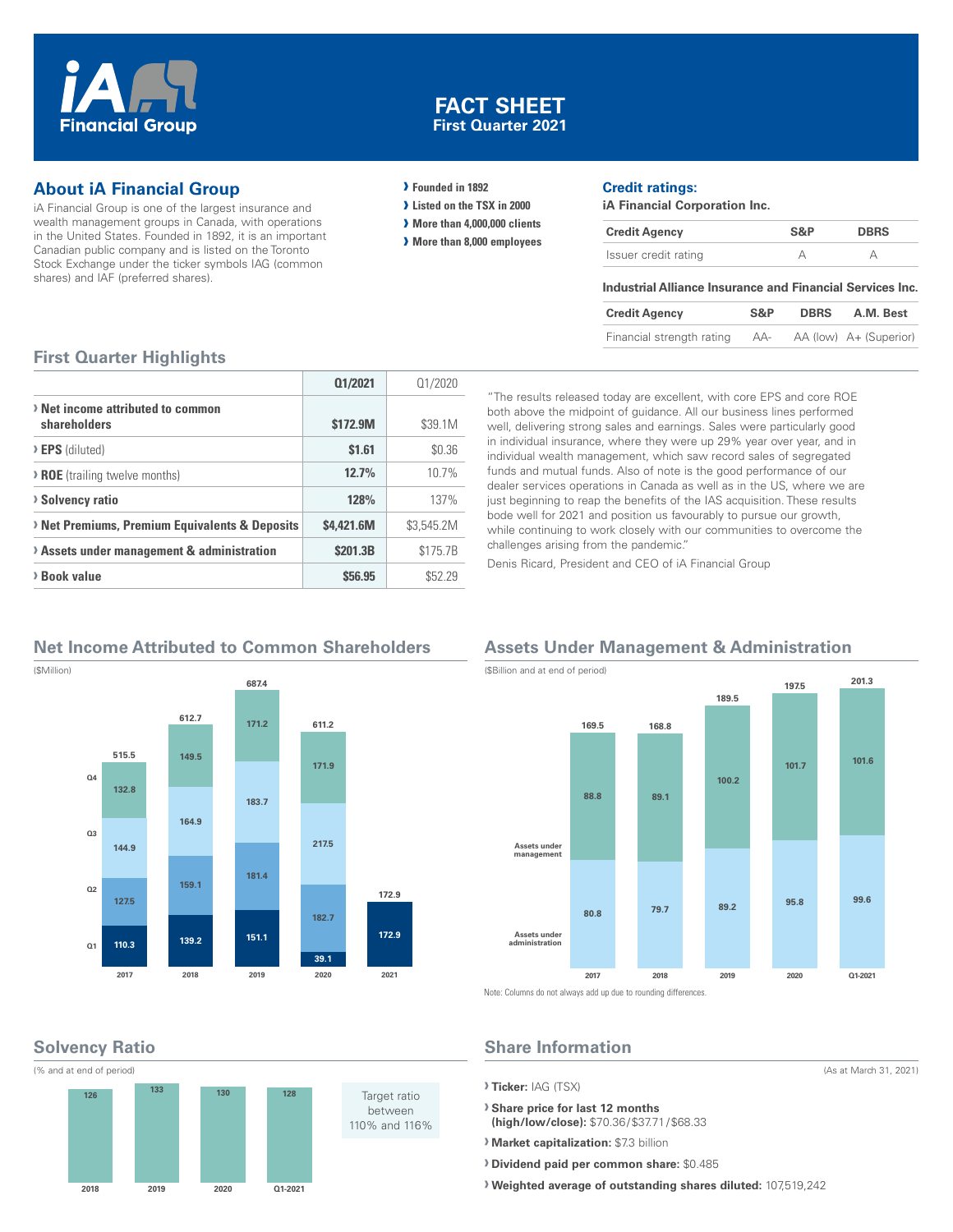

### **FACT SHEET First Quarter 2021**

## **About iA Financial Group**

iA Financial Group is one of the largest insurance and wealth management groups in Canada, with operations in the United States. Founded in 1892, it is an important Canadian public company and is listed on the Toronto Stock Exchange under the ticker symbols IAG (common shares) and IAF (preferred shares).

#### **› Founded in 1892**

- **› Listed on the TSX in 2000**
- **› More than 4,000,000 clients**
- **› More than 8,000 employees**

#### **Credit ratings:**

**iA Financial Corporation Inc.**

| <b>Credit Agency</b> | S&P | <b>DBRS</b> |
|----------------------|-----|-------------|
| Issuer credit rating |     |             |

#### **Industrial Alliance Insurance and Financial Services Inc.**

| <b>Credit Agency</b>      | S&P | <b>DBRS</b> | A.M. Best              |
|---------------------------|-----|-------------|------------------------|
| Financial strength rating | AA- |             | AA (low) A+ (Superior) |

#### **First Quarter Highlights**

|                                                   | 01/2021    | 01/2020    |
|---------------------------------------------------|------------|------------|
| > Net income attributed to common<br>shareholders | \$172.9M   | \$39.1M    |
| > EPS (diluted)                                   | \$1.61     | \$0.36     |
| > ROE (trailing twelve months)                    | 12.7%      | 10.7%      |
| <b>&gt; Solvency ratio</b>                        | 128%       | 137%       |
| > Net Premiums, Premium Equivalents & Deposits    | \$4.421.6M | \$3,545.2M |
| > Assets under management & administration        | \$201.3B   | \$175.7B   |
| > Book value                                      | \$56.95    | \$52.29    |

"The results released today are excellent, with core EPS and core ROE both above the midpoint of guidance. All our business lines performed well, delivering strong sales and earnings. Sales were particularly good in individual insurance, where they were up 29% year over year, and in individual wealth management, which saw record sales of segregated funds and mutual funds. Also of note is the good performance of our dealer services operations in Canada as well as in the US, where we are just beginning to reap the benefits of the IAS acquisition. These results bode well for 2021 and position us favourably to pursue our growth, while continuing to work closely with our communities to overcome the challenges arising from the pandemic."

Denis Ricard, President and CEO of iA Financial Group

# **Net Income Attributed to Common Shareholders**



# **Solvency Ratio**



## **Assets Under Management & Administration**



(As at March 31, 2021)

# **Share Information**

**› Ticker:** IAG (TSX)

**› Share price for last 12 months (high/low/close):** \$70.36/\$37.71/\$68.33

**› Market capitalization:** \$7.3 billion

**› Dividend paid per common share:** \$0.485

**› Weighted average of outstanding shares diluted:** 107,519,242